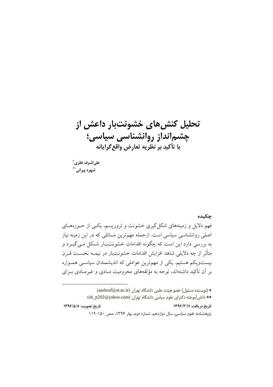# تحلیل کنش های خشونتبار داعش از چشم انداز روانشناسی سیاسی؛ با تأكيد بر نظريه تعارض واقع گرايانه

علىاشرف نظري ٌ شهره پیران*ی* ٌ

#### جكىدە

فهم دلایل و زمینههای شکل گیری خشونت و تروریسم، یکسی از حــوزههــای اصلی روانشناسی سیاسی است. ازجمله مهمترین مسائلی که در این زمینه نیاز به بررسی دارد این است که چگونه اقدامات خشونتبار شکل میگیرد و متأثر از چه دلایلی شاهد افزایش اقدامات خشونتبار در نیمــه نخســت قــرن بیستویکم هستیم. یکی از مهمترین عواملی که اندیشمندان سیاسی همـواره بر آن تأکید داشتهاند، توجه به مؤلفههای محرومیت مـادی و غیرمـادی بــرای

\* (نویسنده مسئول) عضو هیئت علمی دانشگاه تهران (aashraf@ut.ac.ir) \*\* دانش آموخته دکترای علوم سیاسی دانشگاه تهران (sh\_p202@yahoo.com) تاريخ دريافت: ١٣٩٦/٣/١١ تاريخ تصويب: ١٣٩٦/٥/٨ پژوهشنا*مه علوم سیاسی،* سال دوازدهم، شماره دوم، بها, ۱۳۹۶، صص ۱۵۰-۱۱۹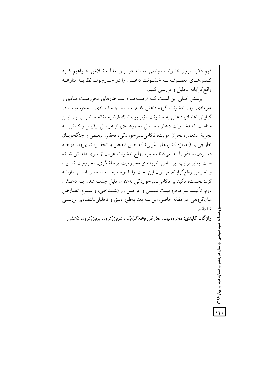فهم دلایل بروز خشونت سیاسی است. در ایــن مقالــه تــلاش خــواهیم کــرد کـنش۵هـای معطـوف بــه خشـونت داعـش را در چــارچوب نظریــه منازعــه واقع گرایانه تحلیل و بررسی کنیم.

یرمیش اصلی این است کـه «زمینـههـا و سـاختارهای محرومیـت مـادی و غیرمادی بروز خشونت گروه داعش کدام است و چـه ابعـادی از محرومیـت در گرایش اعضای داعش به خشونت مؤثر بودهاند؟» فرضیه مقاله حاضر نیز بـر ایــن مبناست که «خشونت داعش، حاصل مجموعــهای از عوامــل ازقبيــل واکــنش بــه تجربهٔ استعمار، بحران هويت، ناكامي ـسرخوردگي، تحقير، تبعيض و جنگجويــان خارجی ای (بهویژه کشورهای غربی) که حس تبعیض و تحقیـر، شـهروند درجـه دو بودن، و فقر را القا می کنند، سبب رواج خشونت عریان از سوی داعـش شـده است. بهاین ترتیب، براساس نظریههای محرومیت پر خاشگری، محرومیت نسبی، و تعارض واقع گرايانه، مي توان اين بحث را با توجه به سه شاخص اصلي، ارائــه کرد: نخست، تأکید بر ناکامی ـسرخوردگی بهعنوان دلیل جذب شدن بــه داعــش، دوم، تأكيــد بــر محروميــت نســبي و عوامــل روانشــناختي، و ســوم، تعــارض میانگروهی ٍ. در مقاله حاضر، این سه بعد بهطور دقیق و تحلیلی۔انتقـادی بررســی شدهاند.

واژگان کلیدی: محرومیت، تعارض واقع گرایانه، درون گروه، برون گروه، داعش

سال دوازدهم ♦ شماره دوم ♦ بهار ۱۳۹۶

 $\sqrt{r}$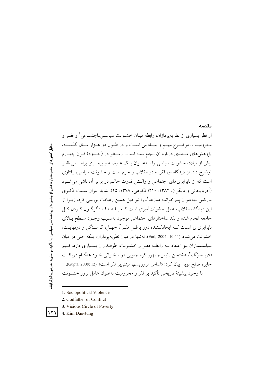# مقدمه از نظر بسیاری از نظریهپردازان، رابطه میـان خشــونت سیاســیLجتمـاعی' و فقــر و محرومیـت، موضـوع مهـم و بنیـادینی اسـت و در طـول دو هـزار سـال گذشـته، یژوهش های مستندی درباره آن انجام شده است. ارسـطو در (حــدود) قــرن چهــارم پیش از میلاد، خشونت سیاسی را بـهعنـوان یـک عارضـه و بیمـاری براسـاس فقـر توضیح داد. از دیدگاه او، فقر، مادر انقلاب و جرم است و خشونت سیاسی، رفتاری است که از نابرابریهای اجتماعی و واکنش قدرت حاکم در برابر آن ناشی می شود (اَذِرِبايجاني و ديگران، ١٣٨٢: ٢١٠؛ فكوهي، ١٣٧٨: ٢۵). شايد بتوان سـنت فكـرى مارکس ـبهعنوان پدرخوانده منازعه ٌــ را نیز ذیل همین رهیافت بررسی کرد، زیــرا از این دیدگاه، انقلاب، عمل خشونتآمیزی است کـه بـا هـدف دگر گـون کـردن کـل جامعه انجام شده و نقد ساختارهای اجتماعی موجود بهسـبب وجـود سـطح بـالای نابرابریای است کـه ایجادکننـده دور باطـل فقـر ً، جهـل، گرسـنگی و درنهایـت، خشونت مي شود (Earl, 2004: 10-11). نه تنها در ميان نظريه پر دازان، بلكه حتى در ميان سیاستمداران نیز اعتقاد بـه رابطـه فقـر و خشـونت، طرفـداران بسـیاری دارد. کــیم *دای۔جونگ <sup>۴</sup>، ه*شتمین رئیسجمهور کره جنوبی در سخنرانی خــود هنگــام دریافــت جايزه صلح نوبل بيان كرد: «اساس تروريسم، مبتنى بر فقر است» (Gupta, 2008: 12). با وجود پیشینهٔ تاریخی تأکید بر فقر و محرومیت بهعنوان عامل بروز خشــونت

- 1. Sociopolitical Violence
- 2. Godfather of Conflict
- 3. Vicious Circle of Poverty
- 4. Kim Dae-Jung



 $\sqrt{7}$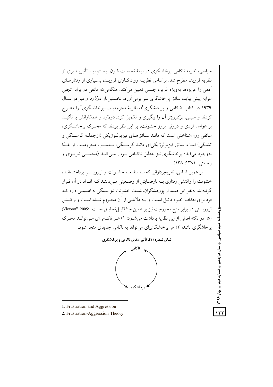سیاسی، نظریه ناکامی پیرخاشگری در نیمهٔ نخست قبرن بیستم، بیا تأثیرپیذیری از نظریه فروید، مطرح شد. براساس نظریــه روانکـاوی فرویــد، بسـیاری از رفتارهــای ۔<br>آدمی را غریزہها بهویژہ غریزہ جنسی تعیین می کند. هنگامی که مانعی در برابر تجلی غرایز پیش پیابد، سائق یوخاشگری سر برمی آورد. نخستین بار *دولارد* و میر در سیال ۱۹۳۹ در کتاب «ناکامی و یرخاشگری"»، نظریهٔ محرومیت بیرخاشگری ارا مطبر ح کردند و سپس، *برکوویتز* آن را پیگیری و تکمیل کرد. دولارد و همکارانش با تأکیــد بر عوامل فردی و درونی بروز خشونت، بر این نظر بودند که محـرک پرخاشـگری، سائقی روانشناختی است که مانند سـائقهــای فیزیولــوژیکی (ازجملــه گرســنگی و تشنگی) است. سائق فیزیولوژیکی ای مانند گرسـنگی، بـهسـبب محرومیـت از غـذا پهوجود مي آيد؛ پرخاشگري نيز پهدليل ناڪامي سروز مي کنيد (محسني تيرسزي و رحمتي، ١٣٨١: ١٣٨).

بر همین اساس، نظریهپردازانی که بـه مطالعـه خشـونت و تروریسـم پرداختـهانـد، خشونت را واکنشی رفتاری بــه نارضــایتی از وضــعیتی مــیداننــد کــه افــراد در آن قــرار گرفتهاند. بهنظر این دسته از یژوهشگران، شدت خشونت نیز بستگی به اهمیتـی دارد کــه فرد برای اهداف خـود قائـل اسـت و بـه دلایلـی از آن محـروم شـده اسـت و واكـنش تروريستي در برابر منبع محروميت نيز بر همين مبنا قابـل تحليـل اسـت :Victoroff, 2005) (19. دو نکته اصلی از این نظریه برداشت می شـود: ۱) هـر ناکـامی ای مـی توانـد محـرک پرخاشگری باشد؛ ۲) هر پرخاشگریای می تواند به ناکامی جدیدی منجر شود.





- 1. Frustration and Aggression
- 2. Frustration-Aggression Theory

علوم سیاسی ♦ سال دوازدهم ♦ شماره دوم ♦ بهار ۱۳۹۶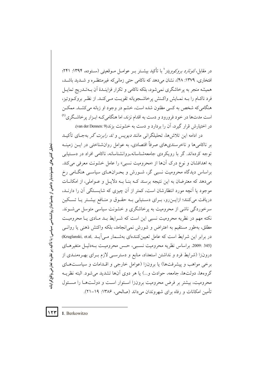در مقابل، *لئونارد بروكوويتز*' با تأكيد بيشتر بـر عوامـل مـوقعيتي (سـتوده، ۱۳۹۴: ۲۴۱؛ افتخاري، ١٣٧٩: ۴٨)، نشان مي دهد كه ناكامي حتى زماني كه غير منتظـره و شـديد باشـد. همیشه منجر به پرخاشگری نمی شود، بلکه ناکامی و تکرار فزاینـدهٔ اَن بــهتـدریج تمایــل فرد ناكبام را ببه نمبايش واكتش يرخاشجويانه تقويت مبي كنيد. از نظير بروكبووتيز، هنگامی که شخص به کسی مظنون شده است، خشم در وجود او زبانه می کشـد. ممکــن است مدتها در خود فرورود و دست به اقدام نزند، اما هنگامی کـه ابـزار یرخاشـگری<sup>(۱)</sup> در اختیارش قرار گیرد، آن را بردارد و دست به خشونت بزند(9 :van der Dennen).

در ادامه این تلاش۵ها، تحلیلگران<sub>ی</sub> مانند *دیویس و تد رابرت گ*ر بهجـای تأکیــد بر ناکامیِها و ناخرسندیِهای صرفاً اقتصادی، به عوامل روانشناختی در ایــن زمینــه توجه کردهاند. گر با رویکردی جامعهشناسانه روانشناسانه، ناکامی افراد در دستیابی به اهدافشان و نوع درک آنها از «محرومیت نسبی» را عامل خشونت معرفی می کند. براساس دیدگاه محرومیت نسبی گر، شـورش و بحـرانهـای سیاسـی هنگـامی رخ می دهد که معترضان به این نتیجه برسند کـه بنـا بـه دلایـل و عـواملی، از امکانـات موجود یا اَنچه مورد انتظارشان است، کمتر از اَن چیزی که شایسـتگی اَن را دارنـد، دریافت می کنند؛ ازایــن(و، بــرای دســتیابی بــه حقــوق و منــافع بیشــتر یــا تســکین سرخوردگی ناشی از محرومیت به پرخاشگری و خشونت سیاسی متوسل می شـوند. نکته مهم در نظریه محرومیت نسبی این است که شـرایط بـد مـادی یـا محرومیـت مطلق، بهطور مستقیم به اعتراض و شورش نمی|نجامد، بلکه واکنش ذهنی یا روانــی در برابر این شرایط است که عامل تعیینکنندهای بهشــمار مــیآیــد .Kruglanski, et.al) (345 :2009. براساس نظريه محروميت نسبي، حس محروميت بـهدليـل متغيرهـاي درونزا (شرایط فرد و نداشتن استعداد، منابع و دسترسـی لازم بـرای بهـرهمنـدی از برخی مواهب و پیشرفتها) یا برونزا (عوامل خارجی و اقـدامات و سیاســتهـای گروهها، دولتها، جامعه، حوادث و...) یا هر دوی آنها تشدید می شود. البته نظریــه محرومیت، بیشتر بر فرض محرومیت برونزا استوار است و دولتها را مسئول تأمين امكانات و رفاه براي شهروندان مي داند (صالحي، ۱۳۸۶: ۱۹–۲۱).

 $\gamma$ 1. Berkowitzo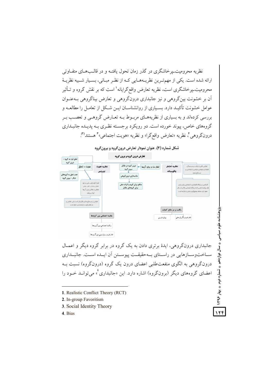نظریه محرومیت پر خاشگری در گذر زمان تحول یافتـه و در قالـبـهـای متفـاوتی ارائه شده است. یکی از مهمترین نظریـههـایی کـه از نظـر مبـانی، بسـیار شـبیه نظریـهٔ محرومیت یو خاشگری است، نظریه تعارض واقع گرایانه' است که بر نقش گروه و تــأثیر آن پر خشونت بین گروهی و نیز جانبداری درون گروهی و تعارض بیناگروهی پیه عنبوان عوامل خشونت تأکیـد دارد. بسـیاری از روانشناســان ایــن شــکل از تعامــل را مطالعــه و بررسی کردهاند و به بسیاری از نظریههـای مربـوط بـه تعـارض گروهـی و تعصـب بـر گروههای خاص، پیوند خورده است. دو رویکرد برجسته نظری بـه پدیـده جانبـداری درونگروهي<sup>۲</sup>، نظريه «تعارض واقعگرا» و نظريه «هويت اجتماعي»<sup>۳</sup> هستند<sup>(۲</sup>).



جانبداري درونگروهي، ايدهٔ برتري دادن به يک گروه در برابر گروه ديگر و اعمــال سیاخت وسیازهایی در راستای سه حقیقیت پیوستین آن اسده است. جانسداری درون گروهی به الگوی منفعت طلبی اعضای درون یک گروه (درون گروه) نسبت بـه اعضای گروههای دیگر (برونگروه) اشاره دارد. این «جانبداری"» می توانـد خـود را

- 1. Realistic Conflict Theory (RCT)
- 2. In-group Favoritism
- 3. Social Identity Theory
- 4. Bias

۱۲۴

♦ تُسماره دوم ♦ بهار ۱۳۹۶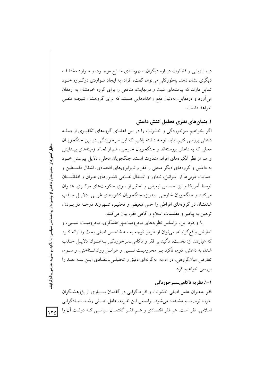در، ارزیابی و قضاوت درباره دیگران، سهمبنـدی منـابع موجـود، و مـوارد مختلـف دیگری نشان دهد. بهطورکلی می توان گفت، افراد، به ایجاد مـواردی درگـروه خـود تمایل دارند که پیامدهای مثبت و درنهایت، منافعی را برای گروه خودشان به ارمغان می آورد و درمقابل، بهدنبال دفع رخدادهایی هستند که برای گروهشان نتیجــه منفــی خواهد داشت.

۱. بنیانهای نظری تحلیل کنش داعش

اگر بخواهیم سرخوردگی و خشونت را در بین اعضای گروههای تکفیـری ازجملـه داعش بررسی کنیم، باید توجه داشته باشیم که این سرخوردگی در بین جنگجویـان محلي كه به داعش پيوستهاند و جنگجويان خارجي، هم از لحاظ زمينههاي پيــدايش و هم از نظر انگیزههای افراد، متفاوت است. جنگجویان محلی، دلایل پیوستن خـود به داعش و گروههای دیگر محلی را فقر و نابرابریهای اقتصادی، اشغال فلسطین و حمایت غربی ها از اسرائیل، تجاوز و اشـغال نظـامی کشـورهای عـراق و افغانسـتان توسط آمریکا و نیز احساس تبعیض و تحقیر از سوی حکومتهای مرکزی، عنـوان مي كنند و جنگجويان خارجي بهويژه جنگجويان كشورهاي غربـي\_ دلايـل جــذب شدنشان در گروههای افراطی را حس تبعیض و تحقیـر، شـهروند درجـه دو بـودن، توهين به پيامبر و مقدسات اسلام و گاهي فقر، بيان مي كنند.

با وجود این، براساس نظریههای محرومیت پرخاشگری، محرومیت نسببی، و تعارض واقع گرایانه، می توان از طریق توجه به سه شاخص اصلی بحث را ارائه کـرد که عبارتند از: نخست، تأکید بر فقر و ناکامی حر خوردگی بـهعنـوان دلایـل جــذب شدن به داعش، دوم، تأكيد بـر محروميـت نسـبي و عوامـل روانشـناختي، و سـوم، تعارض میانگروهی. در ادامه، بهگونهای دقیق و تحلیلهی انتقادی ایـن سـه بعـد را بررسي خواهيم كرد.

#### ۱-۱. نظریه ناکامی ـسرخوردگی

فقر بهعنوان عامل اصلی خشونت و افراطگرایی در گفتمان بسـیاری از یژوهشـگران حوزه تروریسم مشاهده میشود. براساس این نظریه، عامل اصـلی رشـد بنیـادگرایی اسلامی، فقر است، هم فقر اقتصادی و هـم فقـر گفتمـان سیاسـی کـه دولـت آن را

نحلیل کنش های خشونت بار داعش از چشم انداز روانشناسی سیاسی؛ با تأکید بر نظریه تعارض واقع گرایانه

 $|170|$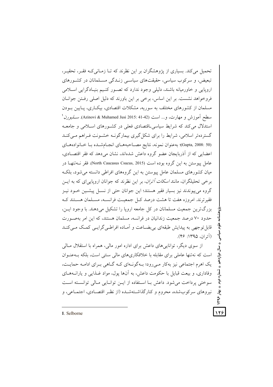تحمیل می کند. بسیاری از پژوهشگران بر این نظرند که تـا زمـانی کـه فقـر، تحقیـر، تبعیض، و سرکوب سیاسی، حقیقتهای سیاسـی زنـدگی مسـلمانان در کشـورهای اروپایی و خاورمیانه باشند، دلیلی وجود ندارد که تصـور کنـیم بنیـادگرایی اسـلامی فروخواهد نشست. بر این اساس، برخی بر این باورند که دلیل اصلی رفتن جوانبان مسلمان از کشورهای مختلف به سوریه، مشکلات اقتصادی، بیکباری، پبایین ببودن سطح آموزش و مهارت، و... است (Azinovi & Muhamed Jusi 2015: 41-42). *ســلبورن* ' استدلال می کند که شرایط سیاسی اقتصادی فعلی در کشـورهای اسـلامی و جامعـه گستردهتر اسلامی، شرایط را برای شکل گیری بیمارگونـه خشـونت فـراهم مـی کنـد (Gupta, 2008: 50)؛ به عنوان نمونه، نتايج مصـاحبههـاي انجـامشـده بـا خـانوادههـاي اعضایی که از آذربایجان عضو گروه داعش شدهاند، نشان می دهد که فقر اقتصـادی. عامل پیوستن به این گروه بوده است (North Caucasus Csucus, 2015). فقر نــهتنهــا در میان کشورهای مسلمان عامل پیوستن به این گروههای افراطی دانسته می شود، بلک برخی تحلیلگران، مانند *اسکات آتران*، بر این نظرند که جوانان اروپایی ای که به ایــن گروه می پیوندند نیز بسیار فقیر هستند؛ این جوانان حتی از نســل پیشــین خــود نیــز فقيرترند. امروزه هفت تا هشت درصد كبل جمعيت فرانســه، مسـلمان هســتند كــه بزرگترین جمعیت مسلمانان در کل جامعه اروپا را تشکیل می دهند. با وجود ایــن، حدود ۷۰ درصد جمعیت زندانیان در فرانسه، مسلمان هستند، که این امر بهصورت قابل توجهی به پیدایش طبقهای بی بضـاعت و اَمـاده افراطـی گرایـی کمـک مـیکنـد (آته ان، ۱۳۹۵: ۴۶).

از سوی دیگر، تواناییهای داعش برای اداره امور مالی، همراه با استقلال مـالی است که نهتنها عاملی برای مقابله با خلافکاریهای مالی سنتی است، بلکه به عنوان یک اهرم اجتماعی نیز پهکار مے رود؛ پـهگونـهای کـه گـاهی بـرای ادامـه حمایـت، وفاداری، و بیعت قبایل با حکومت داعش، به آنها پول، مواد غـذایبی و یارانــههـای سوختی پرداخت می شود. داعش بـا اسـتفاده از ایـن توانـایی مـالی توانسـته اسـت نیروهای سرکوبشده، محروم و کنارگذاشتهشـده (از نظـر اقتصـادی، اجتمـاعی، و

1. Selborne

 $\sqrt{\mu}$ 

ىلوم سياىسى

دوازدهم

← تُسماره دوم ← بهار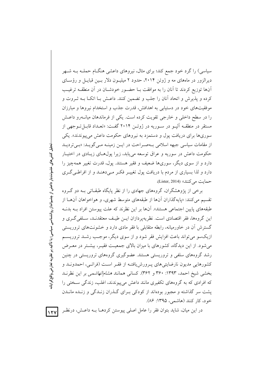سیاسی) را گرد خود جمع کند؛ برای مثال، نیروهای داعشی هنگـام حملـه بــه شــهر دیرالزور در ماههای مه و ژوئن ۲۰۱۴، حدود ۲ میلیـون دلار بـین قبایـل و رؤسـای آنها توزیع کردند تا آنان را به موافقت بـا حضـور خودشـان در آن منطقـه ترغیـب کرده و پذیرش و اتحاد آنان را جلب و تضمین کنند. داعـش بـا اتکـا بــه ثــروت و موفقیتهای خود در دستیابی به اهدافش، قدرت جذب و استخدام نیروها و مبارزان را در سطح داخلی و خارجی تقویت کرده است. یکی از فرماندهان میانــهرو داعــش مستقر در منطقــه الپــو در ســوریه در ژوئــن ۲۰۱۴ گفــت: «تعــداد قابــل تــوجهی از سوریها برای دریافت پول و دستمزد به نیروهای حکومت داعش می پیوندند». یکی از مقامات سیاسی جبهه اسلامی بـهصـراحت در ایـن زمینـه مـی گویـد: «بـی تردیـد حکومت داعش در سوریه و عراق توسعه می پابد، زیرا پول@ای زیـادی در اختیـار دارد و از سوی دیگر، سوریها ضعیف و فقیر هستند. یول، قدرت تغییر همهچیز را دارد و لذا بسیاری از مردم با دریافت پول تغییـر فکـر مـیدهنـد و از افراطـی گـری حمايت مي كنند» (Lister, 2014).

برخی از پژوهشگران، گروههای جهادی را از نظر پایگاه طبقــاتی بــه دو گــروه تقسیم می کنند: «پایه گذاران آنها از طبقههای متوسط شهری، و هواخواهان آنهـا از طبقههای پایین اجتماعی هستند». آنها بر این نظرند که علت پیوستن افراد بـه بدنـه این گروهها، فقر اقتصادی است. نظریه پردازان ایــن طیــف معتقدنــد، ســلفی گــری و گسترش آن در خاورمیانه، رابطه متقابلی با فقر مادی دارد و خشونتهای تروریستی ازیکسو می تواند باعث افزایش فقر شود و از سوی دیگر، موجب رشـد تروریسـم میشود. از این دیدگاه، کشورهای با میزان بالای جمعیت فقیـر، بیشـتر در معـرض رشد گروههای سلفی و تروریستی هستند. عضوگیری گروههای تروریستی در چنین كشورهايي مديون نارضايتي هاي يــرورش يافتــه از فقــر اســت (فراتــي، احمدونــد و بخشی شیخ احمد، ۱۳۹۳: ۳۶۰ و ۳۶۲). کسانی همانند *هشام الهاشمی* بر این نظرنــد که افرادی که به گروههای تکفیری مانند داعش می پیوندند، اغلب، زندگی سـختی را یشت سر گذاشته و مجبور بودهاند از کودکی بـرای گــذران زنــدگی و زنــده مانــدن خود، کار کنند (هاشمی، ۱۳۹۵: ۸۶).

در این میان، شاید بتوان فقر را عامل اصلی پیوستن کردهـا بـه داعـش، درنظـر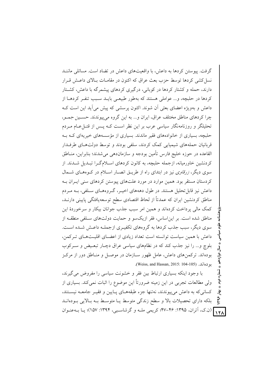گرفت. پیوستن کردها به داعش، با واقعیتهای داعش در تضاد است. مسائلی ماننـد نسل کشی کردها توسط حزب بعث عراق که اکنون در مقامـات بـالای داعـش قـرار دارند، حمله و کشتار کردها در کوبانی، درگیری کردهای پیشمرگه با داعش، کشـتار کردها در حلیچه، و... عواملی هستند که بهطور طبیعے پایید سبب تنفیر کردهیا از داعش و بهویژه اعضای بعثی آن شوند. اکنون پرسشی که پیش میآید این است کـه چرا کردهای مناطق مختلف عراق، ایران و... به این گروه می پیوندند. حسـین جمـو، تحلیلگر و روزنامهنگار سیاسی عرب بر این نظر است کـه پـس از قتــاعــام مــردم حلبچه، بسیاری از خانوادههای فقیر ماندند. بسیاری از مؤسسههای خیریهای کـه بـه قربانیان حملههای شیمیایی کمک کردند، سلفی بودند و توسط دولتهـای طرفــدار القاعده در حوزه خليج فارس تأمين بودجه و سازمان‹هي مي شدند؛ بنابراين، منــاطق کردنشین خاورمیانه، ازجمله حلبچه، به کانون کردهای اسـلامگـرا تبـدیل شـدند. از سوی دیگر، *زرقاوی* نیز در ابتدای راه از طریــق انصــار اســلام در کــوههــای شـــمال کردستان مستقر بود. همین موارد در مورد علتهای پیوستن کردهای سنی ایـران بـه داعش نیز قابل تحلیل هستند. در طول دهههای اخیـر، گـروههـای سـلفی، بـه مـردم مناطق کردنشین ایران که عمدتاً از لحاظ اقتصادی سطح توسعه یافتگی پایینی دارنـد، کمک مالي پرداخت کردهاند و همين امر سبب جذب جوانان بيکار و سرخوردهٔ اين مناطق شده است. بر این اساس، فقر ازیکسو و حمایت دولتهای سـلفی منطقــه از سوی دیگر، سبب جذب کردها به گروههای تکفیـری ازجملـه داعـش شـده اسـت. داعش با همین سیاست توانسته است تعداد زیادی از اعضـای اقلیـتهـای تـرکمن، بلوچ و... را نیز جذب کند که در نظامهای سیاسی عراق دچـار تبعـیض و سـرکوب بودهاند. ترکمنهای داعش، عامل ظهور سـازمان در موصـل و منـاطق دور از مرکـز بو دەاند. (Weiss, and Hassan, 2015: 104-105).

با وجود اینکه بسیاری ارتباط بین فقر و خشونت سیاسی را مفروض می گیرند، ولی مطالعات تجربی در این زمینه ضرورتاً این موضوع را اثبات نمی کند. بسیاری از کسانی که به داعش میپیوندند، نهتنها جزء طبقههـای پـایین و فقیـر جامعـه نیسـتند،  $441$ بلکه دارای تحصیلات بالا و سطح زندگی متوسط یـا متوسـط بـه بـالایی بـودهانـد ١٢٨) (ن.ک، آتران، ١٣٩۵: ۴۶-۴۷؛ کریمی ملـه و گرشاسـبی، ١٣٩۴: ١۵٧)؛ یـا بــهعنــوان

تىمارە دوم ؠٚٳ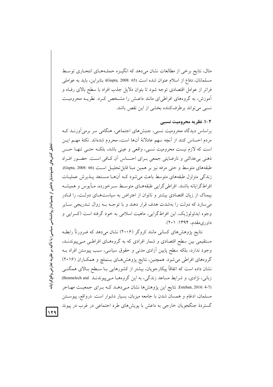مثال، نتايج برخي از مطالعات نشان مىدهد كه انگيـزه حملـههـاى انتحـارى توسـط مسلمانان، دفاع از اسلام عنوان شده است (Gupta, 2008: 65)؛ بنابراين، بايد به عواملي فراتر از عوامل اقتصادی توجه شود تا بتوان دلایل جذب افراد با سطح بالای رف)ه و آموزش، به گروههای افراطی/ی مانند داعـش را مشـخص کـرد. نظریــه محرومیـت نسبي مي تواند برطرفكننده بخشي از اين نقص باشد.

#### ۲-۱. نظریه محرومیت نسبی

براساس دیدگاه محرومیت نسبی، جنبشهای اجتماعی، هنگامی سر برمیآورنـد کـه مردم احساس كنند از آنچه سهم عادلانهٔ آنها است، محروم شدهاند. نكتهٔ مهــم ايــن است که لازم نیست محرومیت نسبی، واقعی و عینی باشد، بلکـه حتـی تنهـا حـس ذهني بيءالتي و نارضايتي جمعي بـراي احسـاس أن كـافي اسـت. حضـور افـراد طبقههای متوسط و حتی مرفه نیز بر همین مبنا قابل تحلیـل اسـت (66 :Gupta, 2008). زندگی متزلزل طبقههای متوسط باعث میشود کـه آنهـا مسـتعد پـذیرش عملیـات افراطگرایانه باشند. افراطی گرایبی طبقههــای متوســط ســرخورده، مــأیوس و همیشــه بیمناک از زیان اقتصادی بیشتر و ناتوان از اعتراض به سیاستهای دولت، را قبادر می سازد که دولت را بهشدت هدف قرار دهند و با توجـه بـه زوال تـدريجي سـاير وجوه ایدئولوژیک، این افراط گرایی، ماهیت اسلامی به خود گرفته است (کسرایی و داوري مقدم، ۱۳۹۴: ۲۰۱).

نتایج پژوهشهای کسانی مانند کروگر (۲۰۰۶) نشان میدهد که ضرورتاً رابطـه مستقیمی بین سطح اقتصادی و شمار افرادی که به گروههای افراطـی مـیپیوندنــد، وجود ندارد، بلکه سطح پایین آزادی مدنی و حقوق سیاسی، سبب پیوستن افراد بــه گروههای افراطی میشود. همچنین، نتایج پژوهشهای بـنملچ و همکـاران (۲۰۱۶) نشان داده است که اتفاقاً پیکارجویان، بیشتر از کشورهایی بـا سـطح بـالای همگنــی زبانی، نژادی، و شرایط مساعد زندگی، به این گروهها می پیوندنـد Benmelech and (Esteban, 2016: 4-7. نتايج اين پژوهشها نشان مى دهـد كـه بـراى جمعيـت مهـاجر مسلمان، ادغام و همسان شدن با جامعه میزبان، بسیار دشوار است. درواقع، پیوسـتن گستردهٔ جنگجویان خارجی به داعش با پویشهای طرد اجتماعی در غرب در پیوند

 $159$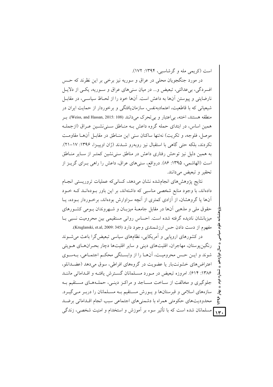است (کریمی مله و گرشاسبی، ۱۳۹۴: ۱۷۲).

در مورد جنگجویان محلی در عراق و سوریه نیز برخی بر این نظرند که حــس افسردگی، بی عدالتی، تبعیض و… در میان سنی های عراق و سـوریه، یکـی از دلایـل نارضایتی و پیوستن آنها به داعش است. آنها خود را از لحـاظ سیاسـی، در مقابـل شیعیانی که با قاطعیت، اعتمادبهنفس، سازمانیافتگی و برخوردار از حمایت ایران در منطقه هستند، اخته، بی اعتبار و بی تحرک می دانند (Weiss, and Hassan, 2015: 108). به همین اساس، در ابتدای حمله گروه داعش بـه منـاطق سـنی(نشـین عـراق (ازجملـه موصل، فلوجه، و تكريت) نهتنها ساكنان سنى اين منــاطق در مقابــل أنـهــا مقاومــت نکردند، بلکه حتی گاهی با استقبال نیز روبهرو شــدند (ژان اوپیــزا، ۱۳۹۶: ۱۷–۲۱). به همین دلیل نیز توحش رفتاری داعش در مناطق سنی نشین کمتـر از ســایر منــاطق است (الهاشمی، ۱۳۹۵: ۸۶). درواقع، سنیهای عراق، داعش را راهی بـرای گریـز از تحقير و تبعيض مي دانند.

نتايج يژوهش هاى انجامشده نشان مى دهد، كسانى كه عمليات تروريستى انجـام دادهاند، با وجود منابع شخصی مناسبی که داشتهاند، بر این باور بودهانـد کـه خـود آنها یا گروهشان، از آزادی کمتری از آنچه سزاوارش بودهاند، برخـوردار بـوده، پــا حقوق ملي و مذهبي آنها در مقابل جامعـهٔ ميزبـان و شـهروندان بـومي كشـورهاي میزبانشان نادیده گرفته شده است. احساس روانی مستقیمی بین محرومیت نسبی بـا مفهوم از دست دادن حس ارزشمندی وجود دارد (Kruglanski, et.al, 2009: 345).

در کشورهای اروپایی و آمریکایی، نظامهای سیاسی تبعیض گرا باعث می شـوند رنگین پوستان، مهاجران، اقلیتهای دینی و سایر اقلیتها دچار بحرانهای هـویتی شوند و ايـن حـس محروميـت، آنهـا را از وابسـتگي محكـم اجتمـاعي، بــهسـوي اعتراض های خشونت بار یا عضویت در گروههای افراطی، سوق می دهد (عضدانلو، ۱۳۸۶: ۶۱۴). امروزه تبعیض در مـورد مسـلمانان گسـترش یافتـه و اقـداماتی ماننـد جلوگیری و مخالفت از سـاخت مسـاجد و مراكـز دینـی، حملـههـای مسـتقیم بـه سازههای اسلامی و قبرستانها و پورش مستقیم بـه مسـلمانان را دربـر مـی گیـرد.  $\widetilde{\mathbf{y}}$ محدودیتهای حکومتی همراه با دشمنیهای اجتماعی سبب انجام اقـداماتی برضـد ۱۳۰ مسلمانان شده است که با تأثیر سوء بر اَموزش و استخدام و امنیت شخصی، زندگی

تساره دوم

يخى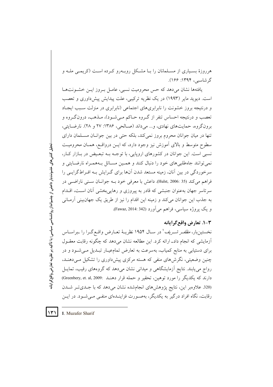هرروزهٔ بسـیاری از مسـلمانان را بـا مشـکل روبـهرو کـرده اسـت (کریمـی ملـه و گرشاسىي، ۱۳۹۴: ۱۶۶).

یافتهها نشان میدهد که حس محرومیت نسبی، عامـل بـروز ایـن خشـونتهـا است. دیوید مایر (۱۹۹۳) در یک نظریه ترکیبی، علت پیدایش پیش داوری و تعصب و درنتیجه بروز خشونت را نابرابریهای اجتماعی (نابرابری در منزلت سـبب ایجـاد تعصب و درنتیجه احساس تنفر از گـروه حـاکم مـیشـود)، مـذهب، درونگـروه و برون گروه، حمایتهای نهادی، و... می داند (صـالحی، ۱۳۸۶: ۲۷ و ۲۸). نارضـایتی، تنها در میان جوانان محروم بروز نمی کند، بلکه حتی در بین جوانان مسلمان دارای سطوح متوسط و بالای اَموزش نیز وجود دارد، که ایــن درواقــع، همــان محرومیــت نسبي است. اين جوانان در كشورهاي اروپايي، با توجــه بــه تبعـيض در بــازار كــار، نمي توانند جاهطلبي هاي خود را دنبال كنند و همـين مســائل بــههمـراه نارضــايتي و سرخوردگی در بین آنان، زمینه مستعد شدن آنها برای گـرایش بـه افـراطگرایــی را فراهم مي كند (35 :Hulst, 2006). داعش با معرفي خود بــه جوانــان ســني ناراضــي در سرتاسر جهان بهعنوان جنبشی که قادر به پیروزی و رهاییبخشی آنان است، اقـدام به جذب این جوانان می کند و زمینه این اقدام را نیز از طریق یک جهان بینی آرمـانی و یک پروژه سیاسی، فراهم می آورد (Fawaz, 2014: 342).

### ٣-١. تعارض واقع گرايانه

نخستینبار، *مظفـر شــریف*' در ســال ۱۹۵۴ نظریــهٔ تعــارض واقــع گــرا را ــبراســاس آزمایشی که انجام داد\_ ارائه کرد. این مطالعه نشان می دهد که چگونه رقابت معقـول برای دستیابی به منابع کمیاب، بهسرعت به تعارض تمامءیار تبـدیل مـیشـود و در چنین وضعیتی، نگرش های منفی که هسته مرکزی پیشداوری را تشکیل مـی دهنـد، رواج می یابند. نتایج آزمایشگاهی و میدانی نشان میدهد که گروههای رقیب، تمایـل دارند که یکدیگر را مورد توهین، تحقیر و حمله قرار دهنـد .:Greenbery, et. al, 2009) (320. علاوهبر این، نتایج پژوهشهای انجامشده نشان میدهد که با جبدی تیر شبدن رقابت، نگاه افراد درگیر به یکدیگر، بهصـورت فزاینـدهای منفـی مـی شـود. در ایــن

 $\Upsilon$ 1. Muzafer Sharif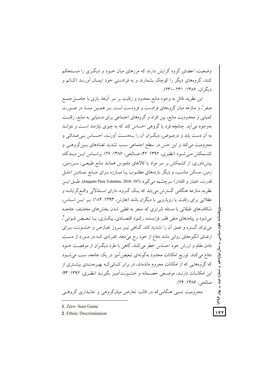وضعیت، اعضای گروه گرایش دارند که مرزهای میان خبود و دیگیری را مستحکم کنند، گروههای دیگر را کوچک بشمارند و به فرادستی خود ایمـان آورنـد (کـاتم و دیگران، ۱۳۸۶: ۲۳۱–۲۳۰).

این نظریه، قائل به وجود منابع محدود و رقابت بر سر آنها، بازی با حاصـلْ جمـع صفر ل و منازعه میان گروههای فرادست و فرودست است. بـر همـین مبنـا، در صـورت کمیابی و محدودیت منابع، بین افراد و گروههای اجتماعی برای دستیابی به منابع، رقابت بهوجود می آید. چنانچه فرد یا گروهی احساس کند که به چیزی نیازمند است و نتوانــد به أن دست يابد و درعــوض، ديگــران أن را بــهدســت أورنــد، احســاس بــي عــدالتي و محرومیت می کند و این حس در سطح اجتماعی سبب تشدید تضادهای بـین گروهـی و کشـمکش مـی شـود (نظـری، ۱۳۹۲: ۴۲؛ صـالحی، ۱۳۸۶: ۲۶). براسـاس ایـن دیـدگاه، پیش(داوری، از کشمکش بر سر مواد یا کالاهای ملموس همانند منابع طبیعـی، ســرزمین، زمین، مسکن مناسب، و دیگر بازدههای مطلــوب یــا مبــارزه بــرای منــابع نمــادین (مثــل قدرت، اعتبار و اقتدار) سرچشمه مي گيرد (Joaquim Pires Valentim, 2010: 587). طبــق ايــن نظریه، منازعه هنگامی گسترش می یابد که یـک گـروه، دارای اسـتدلالی واقـع گرایانــه و عقلایی برای رقابت یا رویارویی با دیگران باشد (هاوتن، ۱۳۹۳: ۱۸۴). بـر ایـن اسـاس، شکافهای طبقاتی یا مسئله نابرابری که منجر به قطبی شدن بخش های مختلیف جامعیه می شود و پیامدهای منفی فقـر فزاینـده، رکـود اقتصـادی، بیکـاری، یــا تبعـیض قــومی ً، می تواند گستره و عمق آن را تشدید کند. گــاهی نیــز بــروز تعــارض و خشــونت، بــرای ارضای انگیزههای روانی مانند دفاع از خود رخ میدهد. افـرادی کـه در مـورد از دسـت دادن مقام و ارزش خود احساس خطر میکنند، گاهی با طرد دیگران از موقعیت خــود دفاع می کنند. توزیع امکانات محدود بهگونهای تبعیضآمیز در یک جامعه، سبب می شــود که گروههایی که از امکانات محروم ماندهاند، در برابر کسانی کـه بهـرومنـدی بیشـتری از این امکانـات دارنـد، موضـعی خصـمانه و خشـونتآمیـز بگیرنـد (نظـری، ۱۳۹۲: ۴۳؛ صالحي، ١٣٨۶: ٢۴).

محرومیت نسبی هنگامی که در قالب تعارض میانگروهی و جانبداری گروهبی

- 1. Zero- Sum Game
- 2. Ethnic Discrimination

♦ سال دوازدهم **کشماره دوم په بهار ۱۳۹۶**  $\gamma$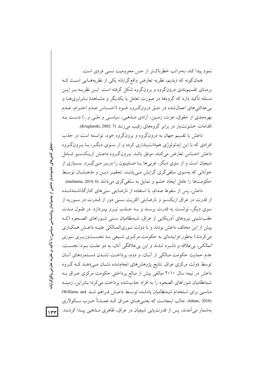نمود پیدا کند، بهمراتب خطرناکتر از حس محرومیت نسبی فردی است.

همانگونه که دیدیم، نظریه تعارض واقعگرایانه یکی از نظریههـایی اسـت کـه برمبنای تقسیم بندی درونگروه و برونگروه شکل گرفته است. ایــن نظریــه بــر ایــن مسئله تأکید دارد که گروهها در صورت تعامل با یکدیگر و مشــاهدهٔ نــابرابریهــا و به عدالتم های اعمالشده در حتی درونگروه خـود (احسـاس عـدم احتـرام، عـدم بهرهمندی از حقوق، عزت، زمـین، آزادی مـذهبی، سیاسـی و ملـی و…) دسـت بـه اقدامات خشونتبار در برابر گروههای رقیب می زنند (Kruglanski, 2002: 7).

داعش با تقسیم جهان به درونگروه و برونگروه خود، توانسته است در جذب افرادی که با این ایدئولوژی همذات پنداری کرده و از سـوی دیگـر، بـا بـرونگـروه داعش احساس تعارض مي كنند، موفق باشد. بـرونگـروه داعـش ازيـكســو شــامل شیعیان است و از سوی دیگر، غربیِها یـا صــلیبیون را دربــر مــیگیــرد. بســیاری از جوانانی که بهسوی سلفیگری گرایش می یابنـد، تحقیـر دیـن و مذهبشـان توسـط حکومتها را عامل ایجاد خشم و تمایل به سلفی گری میدانند (muhanna, 2014: 6).

داعش، پس از سقوط صدام، با استفاده از نارضایتی سنی های کنارگذاشــتهشــده از قدرت در عراق ازیکسو و نارضایتی اکثریت سنی دور از قــدرت در ســوریه از سوی دیگر، توانست به قدرت برسـد و بـه جـذب نیـرو بیـردازد. در طـول مـدت عقب نشینی نیروهای اَمریکایی از عراق، شبهنظامیان سـنی شـوراهای الصـحوه (کـه پیش از این مخالف داعش بودند و با دولت نـوریالمـالکی علیـه داعـش همکـاری می کردند) بهطور فزایندهای به حکومت مرکزی شـیعی بـه نخسـتوزیـری *نـوری* المالکي، بي علاقه و دلسرد شدند و اين بي علاقگي آنان، به دو علت بـود: نخسـت، عدم حمایت حکومت مـالکی از آنـان، و دوم، پرداخـت نشـدن دسـتمزدهای آنـان توسط دولت مرکزی عراق نتایج پژوهشهای انجامشده نشـان مـی۵هـد کـه گـروه داعش در نیمه سال ۲۰۱۰ مبالغی بیش از مبالغ پرداختی حکومت مرکزی عـراق بـه شبهنظامیان شوراهای الصحوه را به افراد جذبشده پرداخت می کرد؛ بنابراین، زمینـه مناسبی برای استخدام شبهنظامیان یادشده توسط داعـش فـراهم شـد Williams and (Adnan, 2010. جالب اینجاست که بعثـیِ هـای عـراق کــه عمــدتاً حــزب ســکولاری بهشمار می آمدند، پس از قدرت پابی شیعیان در عراق، ظاهری مـذهبی پیـدا کردنـد.

 $\gamma$ ۳۳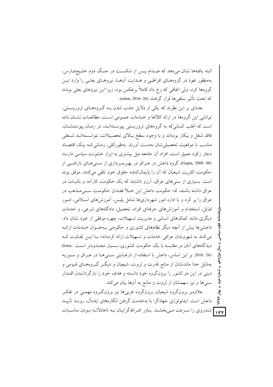البته یافتهها نشان میدهد که صـدام پـس از شکسـت در جنـگ دوم خلـیجفـارس، بهمنظور نفوذ در گروههـای افراطـی و هــدایت آنهـا، نیروهـای بعثـی را وارد ایــن گروهها کرد، ولی اتفاقی که رخ داد کاملاً برعکس بود، زیرا این نیروهای بعثی بودند كه تحت تأثير سلفي ها قرار گرفتند (26 :016 orton, 2016).

عدمای بر این نظرند که یکی از دلایل جذب شدن بـه گـروههـای تروریسـتی، توانایی این گروهها در ارائه کالاها و خـدمات عمـومی اسـت. مطالعـات نشـان داده است که اغلب کسانی که به گروههای تروریستی پیوستهانـد، در زمـان پیوستنشـان، فاقد شغل و بیکار بودهاند و با وجود سطح بالای تحصـیلات، نتوانسـتهانـد شـغلی مناسب با موقعیت تحصیلی شان بهدست آورند. بهطورکلی، زمـانی کـه یـک اقتصـاد دچار رکود عمیق است، افراد آن جامعه میل بیشتری به ابراز خشونت سیاسی دارنــد (Gupta, 2008: 88). گروه داعش در عـراق در بهـروبـرداري از سـني هـاي ناراضـي از حکومت اکثریت شیعیان که آن را پایمالکننده حقوق خود تلقی میکنند، موفق بوده است. بسیاری از سنی های عراق، آرزو داشتند که یک حکومت کارآمد و باثبــات در عراق داشته باشند، لذا حكومت داعش اين خــلأ فقــدان حكومــت ســنىمــذهب در عراق را پر کرد و با اداره امور شهرداریها شامل پلیس، آموزشهای اسـلامی، امـور قبایل، استخدام و آموزش های حرفهای افراد، تحصیل، دادگاههای شرعی، و خدمات دیگری مانند کمکهای انسانی و مدیریت تسهیلات، چهره موفقی از خود نشان داد. داعشیها بیش از آنچه دیگر نظامهای کشوری و حکومتی بـهعنـوان خـلـمات ارائـه می کنند به شهروندان عراقی خدمات و تسهیلات ارائه کردهاند؛ بـا ایــن تفــاوت کــه دیدگاههای آنان در مقایسه با یک حکومت کشوری، بسیار محـدودتر اسـت .lister) (26 ـ 2016. بر اين اساس، داعش با استفاده از نارضايتي سني هـا در عـراق و سـوريه بهدلیل جدا ماندنشان از منابع قدرت و ثروت، شیعیان و دیگـر گـروههـای قــومی و دینی در این دو کشور را برونگروه خود دانسته و هدف خود را بازگردانـدن اقتـدار سنیها و نیز سهمشان از ثروت و منابع به آنها بیان می کند.

علاوهبر برونگروه شیعیان، برونگروه غربی ها نیز برونگ وه مهمــی در تفکـر ؠؙٳ 1498 داعش است. ایدئولوژی جهادگرا با بهخدمت گرفتن انگارههای ایدهآل، رونـد تأییـد <sub>۱۳۴</sub> تندروی را سـرعت مـیبخشـد. بـاور افـراطگرایـان بـه ناعادلانـه بـودن مناسـبات

، تسماره دوم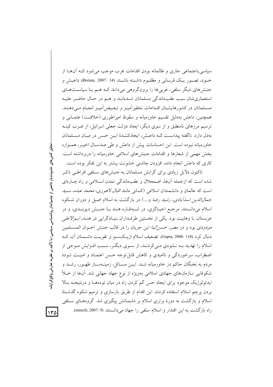سیاسی۔اجتماعی جاری و ظالمانه بودن اقدامات غرب موجب می شود کـه آنهـا از خــود، تصــور يــك قربــاني و مظلــوم داشــته باشــند (Borum, 2007: 14). داعــش و جنبشهای دیگر سلفی، غربیها را برونگروهی میدانند کـه هـم بـا سیاسـتهـای استعماري شان سبب عقبِماندگي مسلمانان شـدهانـد و هـم در حـال حاضـر عليـه مسـلمانان در كشورهايشـان اقـدامات تحقير اَميــز و تبعـيض]ميــز انجـام مــى،دهنــد. همچنین، داعش بهدلیل تقسیم خاورمیانه و سقوط امپراطوری (خلافت) عثمـانی و ترسیم مرزهای نامنطبق و از سوی دیگر، ایجاد دولت جعلی اسرائیل، از غــرب کینــه بهدل دارد. ناگفته پیداست کـه داعـش، ایجادکننـدهٔ ایـن حـس در میـان مسـلمانان خاورمیانه نبوده است. این احساسات پیش از داعش و طی صدسـال اخیــر، همــواره بخش مهمی از شعارها و اقدامات جنبش های اسلامی خاورمیانه را دربرداشته است. کاری که داعش انجام داده، افزودن چاشنی خشونت بیشتر به این تفکر بوده است.

تاکنون دلایل زیادی برای گرایش مسلمانان به جنبشهای سـلفی افراطـی ذکـر شده است که ازجمله اّنها، اضمحلال و عقبماندگی تمدن اسـلامی و راه چـارهای است که عالمان و دانشمندان اسلامی (کسانی مانند *اقبال لاهوری*، *محمد عبده، سـيد جمالالدین اسدآبادی، رشید رضا و....) در بازگشت به اسلام اصیل و دوران ش*کوه اسلام میدانستند. مرجع احیـاگری، در شـبهقـاره هنـد بـا جنـبش دیوبنـدی، و در عربستان، با وهابيت بود. يكي از نخستين طرفــداران بنيــادگرايي در هنــد، *ابــوالاعلي مودودی* بود و در مصر، *حسن البنا* این جریان را در قالب جنبش اخــوان المســلمین دنبال کرد (Gupta, 2008: 110). تضعیف اسلام ازیکسو و تقویت دشمنان آن، ک اسلام را تهدید بـه نـابودي مـیکردنـد، از سـوی دیگـر، سـبب افـزایش مـوجی از اضطراب، سرخوردگی و ناامیدی و کاهش قابل توجه حس اعتمـاد و امنیـت تــودهٔ مردم به نخبگان حاکم در خاورمیانه شـد. ایــن مســائل، زمینــهســاز ظهــور، رشــد و شکوفایی سازمانهای جهادی اسلامی بهویژه از نوع جهاد جهانی شد. آنها از خـلأ ایدئولوژیک موجود برای ایجاد حس گم کردن راه در میان تودهها و درنتیجـه بـالا بردن پرچم اسلام استفاده كردند. اين اقدام از طريق بازسازى و ترميم شكوه گذشتهٔ اسلام و بازگشت به دورهٔ برتری اسلام بر دشمنانش پیگیری شد. گروههـای سـلفی راه بازگشت به این اقتدار و اسلام سلفی را جهاد می دانستند (9 :2007 .minzili).

تحليل كنش هاي خشونت بار داعش از چشم انداز روانشناسي سياسي؛ با تأكيد بر نظريه تعارض واقع گرايانا

 $140$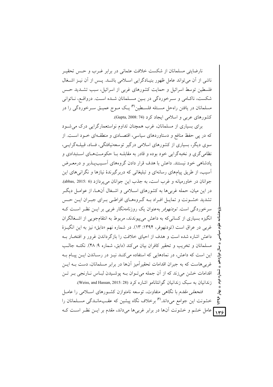نارضایتی مسلمانان از شکست خلافت عثمانی در برابر غـرب و حـس تحقیـر ناشی از آن می تواند عامل ظهور بنیـادگرایی اسـلامی باشـد. پـس از آن نیـز اشـغال فلسطین توسط اسرائیل و حمایت کشورهای غربی از اسرائیل، سبب تشــدید حـس شکست، ناکـامی و سـرخوردگی در بـین مسـلمانان شـده اسـت. درواقـع، نــاتوانی مسلمانان در یافتن راهحل مسـئله فلسـطین™ یـک مـوج عمیـق سـرخوردگی را در کشورهای عربی و اسلامی ایجاد کرد (Gupta, 2008: 74).

برای بسیاری از مسلمانان، غرب همچنان تداوم نواستعمارگرایی درک می شود که در پی حفظ منافع و دستاوردهای سیاسی، اقتصـادی و منطقـهای خـود اسـت. از سوی دیگر، بسیاری از کشورهای اسلامی درگیر توسعهنیافتگی، فساد، قبیلـهگرایـی، نظامي گري و نخپه گرايي خود بوده و قادر په مقابلـه پيا حکومــتهـاي اسـتبدادي و یادشاهی خود نیستند. داعش با هدف قرار دادن گروههای آسـیبپـندیر و درمعـرض آسیب، از طریق پیامهای رسانهای و تبلیغاتی که دربر گیرندهٔ نیازها و نگرانیهای این جوانان در خاورمیانه و غرب است، به جذب این جوانان می پر دازد (6 :2015 .abbas, 2015). در این میان، حمله غربی ها به کشورهای اسـلامی و اشـغال آنهــا، از عوامــل دیگــر تشدید خشـونت و تمایـل افـراد بـه گـروههـای افراطـی بـرای جبـران ایـن حـس سرخوردگی است. *تودنهوفر* بهعنوان یک روزنامهنگار غربی بر ایــن نظـر اســت کــه انگیزه بسیاری از کسانیکه به داعش میپیوندند، مربوط به انتقامجویی از اشــغالگران غربي در عراق است (تودنهوفر، ۱۳۹۴: ۱۳). در شماره نهم «دابق» نيز به اين انگيـزهٔ داعش اشاره شده است و هدف از احیای خلافت را بازگر داندن غرور و افتخـار بــه مسلمانان وتخريب وتحقير كافران بيان مي كند (دابق، شماره ٩: ۴۸). نكتـه جالـب این است که داعش، در نمادهایی که استفاده میکند نیـز در رسـاندن ایـن پیـام بـه غربی هاست که به جیران اقدامات تحقیر آمیز آنها در برابر مسلمانان، دست بـه ایــز اقدامات خشن می زند که از آن جمله می توان بـه پوشـیدن لبـاس نـارنجی بـر تـن زندانیان به سبک زندانیان گوانتانامو اشاره کرد (Weiss, and Hassan, 2015: 28).

فتح*على مقدم* با نگاهى متفاوت، توسعه نامتوازن كشـورهاى اسـلامى را عامـل خشونت این جوامع میداند.<sup>۴)</sup> برخلاف نگاه پیشین که عقـبمانــدگی مســلمانان را **۱۳۶ ک**امل خشم و خشونت آنها در برابر غربیها میداند، مقدم بر ایــن نظـر اســت کــه

شماره دوم ؠٚٳ 1498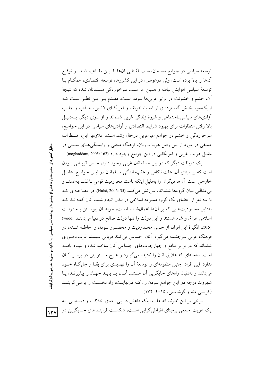توسعه سیاسی در جوامع مسلمان، سبب آشنایی آنها با ایــن مفـاهیم شــده و توقــع آنها را بالا برده است، ولي درعوض، در اين كشورها، توسعه اقتصادي، همگـام بـا توسعهٔ سیاسی افزایش نیافته و همین امر سبب سرخوردگی مسلمانان شده که نتیجهٔ آن، خشم و خشونت در برابر غربی ها بـوده اسـت. مقـدم بـر ایـن نظـر اسـت کـه ازیکسو، بخش گستردهای از آسیا، آفریقـا و آمریکـای لاتـین، جـذب و جلـب آزادیهای سیاسی\_اجتماعی و شیوهٔ زندگی غربی شدهاند و از سوی دیگر، بـهدلیـل بالا رفتن انتظارات برای بهبود شرایط اقتصادی و آزادیهای سیاسی در این جوامع، سرخوردگی و خشم در جوامع غیرغربی درحال رشد است. علاوهبر این، اضطراب عمیقی در مورد از بین رفتن هویت، زبان، فرهنگ محلی و وابستگی هـای ســنتی در مقابل هويت غربي و اَمريكايي در اين جوامع وجود دارد (moghaddam, 2005: 162).

یک دریافت دیگر که در بین مسلمانان غربی وجود دارد، حـس قربـانی بــودن است که بر مبنای آن، علت ناکامی و عقبماندگی مسلمانان در ایـن جوامـع، عامـل خارجي است. اَنها ديگران را بهدليل اينكه باعث محروميت قومي ـاغلب بهعمدـ و بی عدالتی میان گروهها شدهاند، سرزنش می کنند (35 :Hulst, 2006). در مصاحبهای ک با سه نفر از اعضای یک گروه ممنوعه اسلامی در لندن انجام شده، آنان گفتهانــد کــه بهدلیل محدودیتهایی که بر آنها اعمال شده است، خواهـان پیوسـتن بـه دولـت اسلامی عراق و شام هستند و این دولت را تنها دولت صالح در دنیا می دانند .wood (2015 انگیزهٔ این افراد، از حس محدودیت و محصور بودن و احاطـه شـدن در فرهنگ غربی سرچشمه میگیرد. آنان احساس میکنند قربانی سیستم غربمحـوری شدهاند که در برابر منافع و چهارچوبهای اجتماعی آنان ساخته شده و بنیـاد یافتــه است؛ سامانهای که علایق آنان را نادیده میگیــرد و هــیچ مســئولیتی در برابــر آنــان ندارد. این افراد، چنین منظومهای و توسعهٔ آن را تهدیدی برای بقـا و جایگـاه خـود میدانند و بهدنبال راههای جایگزین آن هستند. آنـان یـا بایـد جهـاد را بیذیرنـد، یـا شهروند درجه دو این جوامع بودن را، کـه درنهایـت، راه نخسـت را برمـیگزیننـد (کریمی مله و گرشاسبی، ۲۰۱۵: ۱۷۲).

برخی بر این نظرند که علت اینکه داعش در پی احیای خلافت و دستیابی ب یک هویت جمعی برمبنای افراطی گرایی است، شکست فراینـدهای جـایگزین در

 $|y-y|$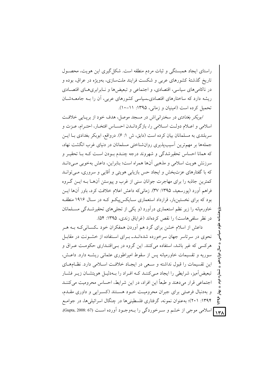راستای ایجاد همبستگی و ثبات مردم منطقه است. شکل گیری این هویت، محصول تاریخ گذشتهٔ کشورهای عربی و شکست فرایند ملتسازی، بهویژه در عراق، بوده و در ناکامی های سیاسی، اقتصادی، و اجتماعی و تبعیض ها و نـابرابری هـای اقتصـادی ریشه دارد که ساختارهای اقتصادی بساسی کشورهای عربی، آن را بـه جامعـهشـان تحمیل کرده است (امینیان و زمانی، ۱۳۹۵: ۱۱-۱۰).

ابوبکر بغدادی در سخنرانی اش در مسجد موصل، هدف خود از برپایی خلافت اسلامی و اعـلام دولـت اسـلامی را، بازگردانـدن احسـاس افتخـار، احتـرام، عـزت و سربلندی به مسلمانان بیان کرده است (دابق، ش ۱: ۶). درواقع، ابوبکر بغدادی بـا ایــن جملهها بر مهمترین آسیب پذیری روان شناختی مسلمانان در دنیای غرب انگشت نهاد، که همانا احساس تحقیرشدگی و شهروند درجه چنـدم بـودن اسـت کـه بـا تحقیـر و سرزنش هويت اسلامي و مذهبي آنها همراه است؛ بنابراين، داعش بهخوبي مـيدانـد که با گفتارهای عزتبخش و ایجاد حس بازیابی هویتی و آقایی و سروری، مـی توانــد کمترین جاذبه را برای مهاجرت جوانان سنی از غرب و پیوستن آنهـا بـه ایــن گــروه فراهم أورد (يورسعيد، ١٣٩۵: ٣٧). زماني كه داعش اعلام خلافت كرد، باور آنها ايــن بود که برای نخستین بار، قرارداد استعماری سـایکس پیکـو کـه در سـال ۱۹۱۶ منطقـه خاورمیانه را زیر نظم استعماری در آورد (و یکی از تجلی های تحقیرشــدگی مســلمانان در نظر سلفی هاست) را نقص کردهاند (غرایاق زندی، ۱۳۹۵: ۵۴).

داعش از اسلام خشن برای گرد هم آوردن همفکران خود کسانی کـه بــه هــر نحوی در سرتاسر جهان سرخورده شدهانـد\_ بـرای اسـتفاده از خشـونت در مقابـل هرکسی که غیر باشد، استفاده میکنند. این گروه در بـی|قتـداری حکومـت عـراق و سوریه و تقسیمات خاورمیانه پس از سقوط امیراطوری عثمانی ریشـه دارد. داعـش، این تقسیمات را قبول نداشته و سعی در ایجباد خلافت اسلامی دارد. نظـامهـای تبعیض امیز، شرایطی را ایجاد مـیکننـد کـه افـراد را بـهدلیـل هویتشـان زیـر فشـار اجتماعی قرار میدهند و طبعاً این افراد، در این شرایط، احساس محرومیت می کننـد و بهدنبال فرصتی برای جبران محرومیت خـود هسـتند (کسـرایی و داوری مقـدم، ؠٚٳ  $504$ ۱۳۹۴: ۲۰۱)؛ بهعنوان نمونه، گرفتاری فلسطینیها در چنگال اسرائیلیها، در جوامـع N۳۸ اسلامی موجی از خشم و سـرخوردگی را بـهوجـود آورده اسـت (67 :Gupta, 2008).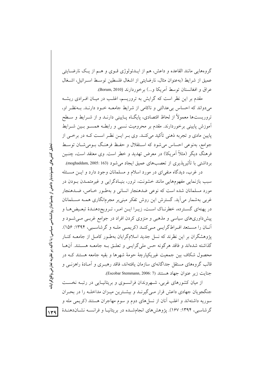گروههایی مانند القاعده و داعش، هم از ایــدئولوژی قــوی و هــم از یــک نارضــایتی عميق از شرايط (بهعنوان مثال، نارضايتي از اشغال فلسطين توسـط اسـرائيل، اشـغال عراق و افغانستان توسط آمريكا و...) برخوردارند (Borum, 2010).

مقدم بر این نظر است که گرایش به تروریسم، اغلب در میـان افـرادی ریشـه می دواند که احساس بی عدالتی و ناکامی از شرایط جامعـه خـود دارنـد. بـهنظـر او، تروریستها معمولاً از لحاظ اقتصادی، پایگ|ه پـایینی دارنــد و از شــرایط و ســطح آموزش پایینی برخوردارند. مقدم بر محرومیت نسبی و رابطـه همسـو بـین شــرایط پایین مادی و تجربه ذهنی تأکید میکنـد. وی بـر ایــن نظـر اسـت کــه در برخــی از جوامع، بهنوعی احساس می شود که استقلال و حفـظ فرهنـگ بـومی شـان توسـط فرهنگ دیگر (مثلاً آمریکا) در معرض تهدید و خطر است. وی معتقد است، چنــین برداشتی با تأثیریذیری از تعصبهای عمیق ایجاد می شود (moghaddam, 2005: 163).

در غرب، دیدگاه منفیای در مورد اسلام و مسلمانان وجود دارد و ایـن مسـئله سبب بازنمایی مفهومهایی مانند خشونت، ترور، بنیـادگرایی و غیرمتمــدن بــودن در مورد مسلمانان شده است که نوعی ضدهنجار انسانی و بهطـور خـاص، ضـدهنجار غربی بهشمار می آید. گسترش این روش تفکر مبنی بر مجرمانگاری همـه مســلمانان در پهنهای گسترده، خطرنـاک اسـت، زيـرا ايـن امـر، تـرويجدهنـدۀ تبعـيضهـا و پیش داوریهای سیاسی و مذهبی و منزوی کردن افراد در جوامع غربـی مـیشـود و أنــان را مسـتعد افــراطگرايــي مــيكنــد (كريمــي ملــه و گرشاســبي، ١٣٩٤: ١٥۶). یژوهشگران بر این نظرند که نسل جدید اسلامگرایان بهطـور کامـل از جامعــه کنــار گذاشته شدهاند و فاقد هرگونه حس ملي گرايــي و تعلــق بــه جامعــه هســتند. آن&ـا محصول شکاف بین جمعیت غیریکپارچهٔ حومهٔ شهرها و بقیه جامعه هستند کـه در قالب گروههای مستقل جداگانهای سازمان یافتهاند، فاقد رهب ی و آمـادهٔ راهزنــی و جنايت زير عنوان جهاد هستند (Escobar Stemmann, 2006: 7).

از میان کشورهای غربی، شــهروندان فرانســوی و بریتانیــایی در رتبــه نخســت جنگجویان جهادی داعش قرار مـیگیرنـد و بیشـترین میـزان مداخلـه را در بحـران سوریه داشتهاند و اغلب آنان از نسلهای دوم و سوم مهاجران هستند (کریمی مله و گرشاسبی، ۱۳۹۴: ۱۶۷). یژوهشهای انجامشـده در بریتانیـا و فرانســه نشـان(دهنـدهٔ

 $149$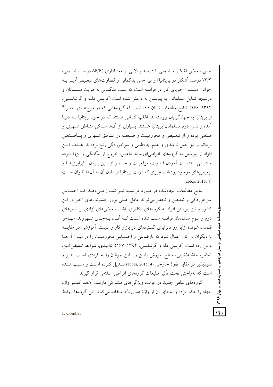حس تبعیض آشکار و ضمنی با درصد بـالایی از معنـاداری (۸۶/۶ درصـد ضـمنی، ۷۳/۳ درصد آشکار در بریتانیا) و نیز حس بدگمانی و قضاوتهای تبعیض آمیـز بـه جوانان مسلمان جوياي كار در فرانسه است كه سبب بدگماني به هويت مسلمانان و درنتيجه تمايل مسلمانان به پيوستن به داعش شده است (کريمي ملـه و گرشاسـبي، ۱۳۹۴: ۱۶۶). نتایج مطالعات نشان داده است که گروههایی که در موجهای اخیبر <sup>(۵)</sup> از بریتانیا به جهادگرایان پیوستهاند، اغلب کسانی هستند که در خود بریتانیا بــه دنیــا آمده و نسل دوم مسلمانان بریتانیا هستند. بسیاری از آنها سـاکن منـاطق شـهری و صنعتی بوده و از تبعیض و محرومیت و ضـعف در منـاطق شـهری و یساصـنعتی بریتانیا و نیز حس ناامیدی و عدم جاهطلبی و سرخوردگی رنج بردهاند. هـدف ایــن افراد از پیوستن به گروههای افراطی ای مانند داعش، خروج از بیگانگی و انزوا بـوده و در يې بـهدسـت آوردن قــدرت، موقعيـت و جـاه و از بــين بـردن نــابرابريهــا و تبعیض های موجود بودهاند؛ چیزی که دولت بریتانیا از دادن آن به آنها ناتوان است (abbas, 2015: 4)

نتايج مطالعات انجامشده در مورد فرانسـه نيـز نشـان مـى دهـد كـه احسـاس سرخوردگی و تبعیض و تحقیر می تواند عامل اصلی بروز خشونتهای اخیر در این کشور و نیز پیوستن افراد به گروههای تکفیری باشد. تبعیضهای نژادی بر نسلهای دوم و سوم مسلمانان فرانسه سبب شده اسـت کـه آنــان بــهجــای شــهروند، مهــاجر قلمداد شوند؛ ازاین رو نابرابری گستردهای در بازار کار و سیستم آموزشی در مقایسه با دیگران بر آنان اعمال شود که نارضایتی و احسـاس محرومیـت را در میـان آن۱مـا دامن زده است (کریمی مله و گرشاسبی، ۱۳۹۴: ۱۶۷). ناامیدی، شرایط تبعیض آمیز، تحقیر، حاشیهنشینی، سطح آموزش پایین و... این جوانان را به افرادی آسیبپــذیر و نفوذيذير در مقابل نفوذ خارجي (abbas, 2015: 4) تسديل كرده است و سبب شيده است که بهراحتی تحت تأثیر تبلیغات گروههای افراطی اسلامی قرار گیرند. گروههای سلفی جدید در غرب، ویژگی های مشترکی دارنـد. آنهــا کمتــر واژهٔ جهاد را به کار برده و بهجای آن از واژهٔ «مبارزه<sup>ا</sup>» استفاده می کنند. این گروهها روابط

→ تُسماره دوم → بهار ۱۳۹۶

 $\sqrt{r}$ 

1. Combat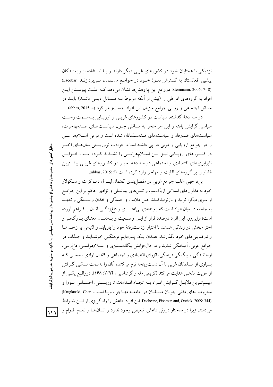نزدیکی با همتایان خود در کشورهای غربی دیگر دارند و بـا اسـتفاده از رزمنـدگان پیشین افغانستان به گسترش نفـوذ خـود در جوامـع مسـلمان مـیپردازنـد Escobar) Stemmann. 2006: 7- 8). درواقع این پژوهشها نشان میدهد که علت پیوستن این افراد به گروههای افراطی را (بیش از آنکه مربوط بــه مســائل دینــی باشــد) بایــد در مسائل اجتماعي و رواني جوامع ميزبان اين افراد جستوجو كرد (4 :abbas, 2015).

در سه دههٔ گذشته، سیاست در کشورهای غربـی و اروپـایی بـهسـمت راسـت سیاسی گرایش یافته و این امر منجر به مسائلی چـون سیاسـتهـای ضـدمهاجرت، سیاستهای ضدرفاه و سیاستهای ضدمسلمانان شده است و نوعی اسـلامهراسـی را در جوامع اروپایی و غربی در یی داشته است. حوادث تروریستی سال هـای اخیــر در کشـورهای اروپـایی نیـز ایـن اسـلامهراسـی را تشـدید کـرده اسـت. افـزایش نابرابریهای اقتصادی و اجتماعی در سه دهه اخیـر در کشـورهای غربـی بیشــترین فشار را بر گروههای اقلیت و مهاجر وارد کرده است (3 :abbas, 2015).

بی توجهی اغلب جوامع غربی در مفصل بندی گفتمان لیبـرال دمـوکرات و سـکولار خود به مدلولهای اسلامی ازیکسو، و تنشهای بینانسلی و نژادی حاکم بر این جوامع از سوی دیگر، تولید و بازتولیدکنندهٔ حس ملامت و خستگی و فقدان وابسـتگی و تعهـد به جامعه در میان افراد است که زمینههای بی|عتبـاری و داغزدگـی آنـان را فـراهم آورده است؛ ازاین رو، این افراد درصدد فرار از ایــن وضـعیت و بــهدنبـال معنـای بـزرگتــر و احترام بخش در زندگی هستند تا اعتبار ازدست رفتهٔ خود را بازیابند و التیامی بر زخمهما و نارضایتیهای خود بگذارنـد. فقـدان یـک پـارادایم فرهنگـی خوشـایند و جــذاب در جوامع غربي، اَميختگي شديد و درحالافزايش بيگانهسـتيزي و اسـلامهراسـي، داغزنـي، ازجاشدگی و بیگانگی فرهنگی، انزوای اقتصادی و اجتماعی و فقدان آزادی سیاسی کـه بسیاری از مسلمانان غربی با آن دستوپنجه نرم میکنند، آنان را بهسمت تسکین گرفتن از هویت مذهبی هدایت میکند (کریمی مله و گرشاسبی، ۱۳۹۴: ۱۶۸). درواقع یکسی از مهـمتـرين دلايـل گـرايش افـراد بـه انجـام اقــدامات تروريسـتي، احســاس انــزوا و محرومیتهای مدنی جوانان مسـلمان در جامعـه مهـاجر ارویـا اسـت Kruglanski, Chen) Dechesne, Fishman and, Orehek, 2009: 344) این افراد، داعش را راه گریزی از ایس شـرایط میدانند، زیرا در ساختار درونی داعش، تبعیض وجود ندارد و انسانهـا و تمـام اقــوام و

 $|1f|$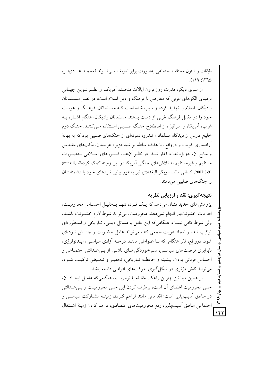طبقات و شئون مختلف اجتماعی بهصورت برابر تعریف مبی شـوند (محمـد عبـادیفـر،  $(119:140)$ 

از سوی دیگر، قدرت روزافزون ایالات متحـده آمریکـا و نظـم نــوین جهــانی برمبنای الگوهای غربی که معارض با فرهنگ و دین اسلام است، در نظـر مسـلمانان رادیکال، اسلام را تهدید کرده و سبب شده است کـه مسـلمانان، فرهنـگ و هویـت خود را در مقابل فرهنگ غربی از دست بدهند. مسلمانان رادیکال، هنگام اشـاره بـه غرب، آمریکا، و اسرائیل، از اصطلاح جنگ صـلیبی اسـتفاده مـیکننـد. جنـگ دوم خلیج فارس از دیدگاه مسلمانان تندرو، نمونهای از جنگهای صلیبی بود که به بهانهٔ آزادسازی کویت و درواقع، با هدف سلطه بر شبهجزیره عربستان، مکانهای مقــدس و منابع أن، بهويژه نفت، أغاز شـد. در نظـر أنهـا، كشـورهاي اسـلامي بـهصـورت مستقیم و غیرمستقیم به تلاش های جنگی آمریکا در این زمینه کمک کردهاند ,minzili) (2007.8-9. كساني مانند ابوبكر البغدادي نيز بهطور ييايي نبردهاي خود با دشمنانشان را جنگهای صلببی می نامند.

## نتیجهگیری: نقد و ارزیابی نظریه

پژوهشهای جدید نشان میدهد که یک فرد، تنها بهدلیل احساس محرومیت، اقدامات خشونتبار انجام نمى دهد. محروميت، مى تواند شرط لازم خشـونت باشـد. ولي شرط كافي نيست. هنگامي كه اين عامل با مسائل دينـي، تــاريخي و اســطورهاي ترکیب شده و ایجاد هویت جمعی کند، می تواند عامل خشونت و جنبش تـودهای شود. درواقع، فقر هنگامی که بــا عــواملی ماننــد درجــه آزادی سیاســی، ایــدئولوژی، نابرابری فرصتهای سیاسبی، سـرخوردگی هـای ناشـبی از بـبیعـدالتی اجتمـاعی و احساس قرباني بودن، پيشينه و حافظـه تـاريخي، تحقيـر و تبعـيض تركيـب شـود، می تواند نقش مؤثری در شکل گیری حرکتهای افراطی داشته باشد.

بر همین مبنا نیز بهترین راهکار مقابله با تروریسم، هنگامی که عامـل ایجـاد آن. حس محرومیت اعضای آن است، برطرف کردن این حس محرومیت و بےعدالتی در مناطق اسیب یذیر است؛ اقداماتی مانند فراهم کـردن زمینــه مشــارکت سیاســی و اجتماعی مناطق أسیبپذیر، رفع محرومیتهای اقتصادی، فراهم کردن زمینهٔ اشــتغال  $157$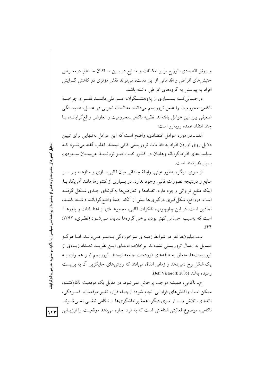و رونق اقتصادی، توزیع برابر امکانات و منـابع در بـین سـاکنان منـاطق درمعـرض جنبشهای افراطی و اقداماتی از این دست، می تواند نقش مؤثری در کاهش گـرایش افراد به پیوستن به گروههای افراطی داشته باشد.

درحــالی کــه بســیاری از پژوهشــگران، عــواملی ماننــد فقــر و چرخـــهٔ ناکامی ـمحرومیت را عامل تروریسم میدانند، مطالعات تجربی در عمـل، همبسـتگی ضعیفی بین این عوامل یافتهاند. نظریه ناکامی محرومیت و تعارض واقع گرایانــه، بــا چند انتقاد عمده روبهرو است:

الف۔ در مورد عوامل اقتصادی، واضح است که این عوامل به تنهایی برای تبیین دلایل روی اَوردن افراد به اقدامات تروریستی کافی نیستند. اغلب گفته می شــود کــه سیاستهای افراط گرایانه وهابیان در کشور نفتخیــز ثروتمنــد عربســتان ســعودی، بسيار قدرتمند است.

از سوی دیگر، بهطور عینی، رابطهٔ چندانی میان قالبی سـازی و منازعــه بــر ســر منابع و درنتیجه تصورات قالبی وجود ندارد. در بسیاری از کشورها مانند آمریکا، بــا اینکه منابع فراوانی وجود دارد، تضادها و تعارضها بهگونهای جـدی شـکل گرفتـه است. درواقع، شکل گیری درگیری ها بیش از آنکه جنبهٔ واقـع گرایانــه داشـته باشــد، نمادین است. در این چارچوب، تفکرات قالبی، مجموعـهای از اعتقـادات و باورهـا است که بهسبب احساس کهتر بودن برخی گروهها نمایان مـی شـود (نظـری، ۱۳۹۲:  $(\mathfrak{f}\mathfrak{r})$ 

ب۔میلیونها نفر در شرایط زمینهای سرخوردگی بـهسـر مـی برنـد، امـا هرگـز متمایل به اعمال تروریستی نشدهاند. برخلاف ادعـای ایـن نظریــه، تعـداد زیـادی از تروریستها، متعلق به طبقههای فرودست جامعه نیستند. تروریسم نیـز همـواره بـه یک شکل رخ نمی دهد و زمانی اتفاق می افتد که روش های جایگزین آن به بن بست رسيده باشد (Jeff Victoroff: 2005).

ج- ناکامی، همیشه موجب پرخاش نمی شود. در مقابل یک موقعیت ناکامکننده، ممکن است واکنشهای فراوانی انجام شود؛ ازجمله فرار، تغییر موقعیت، افسـردگی، ناامیدی، تلاش و...، از سوی دیگر، همهٔ یرخاشگریها از ناکامی ناشمی نمبی شوند. ناکامی، موضوع فعالیتی شناختی است که به فرد اجازه می دهد موقعیت را ارزیـابی

 $\sqrt{r}$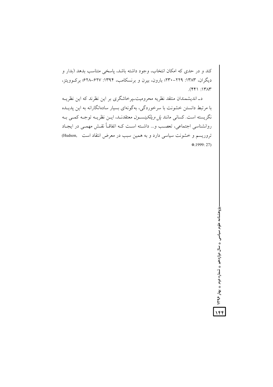کند و در حدی که امکان انتخاب، وجود داشته باشد، پاسخی متناسب بدهد (بدار و دیگران، ۱۳۸۳: ۲۲۹-۲۳۰؛ بارون، بیرن و برنسکامب، ۱۳۹۴: ۶۲۷–۶۲۸؛ برکوویتز،  $(991)$ :  $1717$ 

د\_اندیشمندان منتقد نظریه محرومیت\_پرخاشگری بر این نظرند که این نظریــه با مرتبط دانستن خشونت با سرخوردگی، بهگونهای بسیار سادهانگارانه به این پدیــده نگریسته است. کسانی مانند *پل ویلکینسـون معتقدنـد*، ایــن نظریــه توجــه کمــی بــه روانشناسی اجتماعی، تعصب و… داشته است کـه اتفاقــاً نقــش مهمــی در ایجــاد تروریسم و خشونت سیاسی دارد و به همین سبب در معرض انتقاد است (Hudson, \*.1999: 27)

> پژوهشنامه علوم سیاسی پ سال دوازدهم پ شماره دوم پ پهار ۱۳۹۶ <mark>.</mark>  $\sqrt{5}$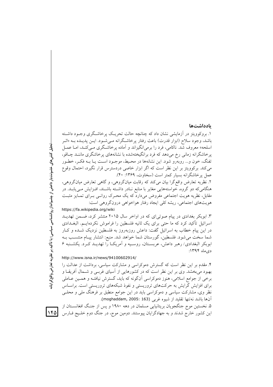#### بادداشتها

۱. بروکوویتز در آزمایشی نشان داد که چنانچه حالت تحریـک پرخاشـگری وجـود داشـته باشد، وجود سلاح (ابزار قدرت) باعث رفتار پرخاشگرانه مـي شـود. ايــن پديــده بــه «اثــر اسلحه» معروف شد. ناکامی، فرد را برمیانگیزاند و آماده پرخاشگری مـیکنـد، امـا عمـل پرخاشگرانه زمانی رخ میدهد که فرد برانگیختهشده با نشانههای پرخاشگری ماننـد چـاقو، تفنگ، خون و… روبهرو شود. این نشانهها در محـیط، موجـود اسـت یـا بــه فکـر، خطـور می کند. برکوویتز بر این نظر است که اگر ابزار خاصی دردسترس قرار نگیرد، احتمال وقوع عمل پرخاشگرانه بسیار کمتر است (سخاوت، ۱۳۶۹: ۴۰). ۲. نظریه تعارض واقع گرا بیان می کند که رقابت میانگروهی، و گاهی تعارض میانگروهی، هنگامیکه دو گروه، خواستههایی مغایر با منابع نـادر داشـته باشـند، افـزایش مـی یابـد. در مقابل، نظریه هویت اجتماعی مفروض میدارد که یک محـرک روانــی بــرای تمـایز مثبـت هویتهای اجتماعی، ریشه کلی ایجاد رفتار هواخواهی درونگروهی است: https://fa.wikipedia.org/wiki

۳. ابوبکر بغدادی در پیام صوتیای که در اواخر سال ۲۰۱۵ منتشر کرد، ضـمن تهدیـد اسرائیل تأکید کرد که ما حتبی برای یک ثانیه فلسطین را فراموش نکردهایــم. البغــدادی در این پیام خطاب به اسرائیل گفت: داعش روزبهروز به فلسطین نزدیک شـده و کـار شما سخت میشود. فلسطین، گورستان شما خواهد شد. منبع: انتشار پیـام منتسـب بــه ابوبکر البغدادی/ رهبر داعش، عربستان، روسیه و آمریک) را تهدیـد کـرد. یکشـنبه ۶ دی ماه ۱۳۹۴:

http://www.isna.ir/news/94100602914/

۴. مقدم بر این نظر است که گسترش دموکراسی و مشارکت سیاسی، برداشت از عدالت را بهبود می بخشد. وی بر این نظر است که در کشورهایی از آسیای غربـی و شــمال آفریقــا و برخي از جوامع اسلامي، هنوز دموكراسي أنگونه كه بايد، گسترش نيافتـه و همـين عــاملي برای افزایش گرایش به حرکتهای تروریستی و نفوذ شبکههای تروریستی است. براسـاس نظر وی، مشارکت سیاسی و دموکراسی باید در این جوامع منطبق بر فرهنگ ملی و محلـی آنها باشد نهتنها تقليد از شيوه غربي (moghaddam, 2005: 163).

۵. نخستین موج جنگجویان بریتانیایی مسلمان در دهه ۱۹۸۰ و پس از جنگ افغانسـتان از این کشور خارج شدند و به جهادگرایان پیوستند. دومین موج، در جنگ دوم خلیج فــارس

 $|160|$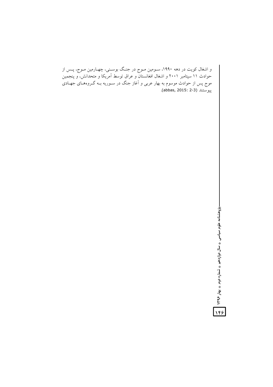و اشغال کویت در دهه ۱۹۹۰، ســومین مــوج در جنـگ بوســنی، چهــارمین مــوج، پــس از<br>حوادث ۱۱ سپتامبر ۲۰۰۱ و اشغال افغانستان و عراق توسط آمریکا و متحدانش، و پنجمین<br>موج پس از حوادث موسوم به بهار عربی و آغاز جنگ در ســوریه بــ بيوستند (abbas, 2015: 2-3).

-پژوهشنامه علوم سیاسی <sub>»</sub> سال دوازدهم ، شماره دوم ، پهار ۱۳۹۶ <mark>م .</mark><br>پژوهشنامه علوم سیاسی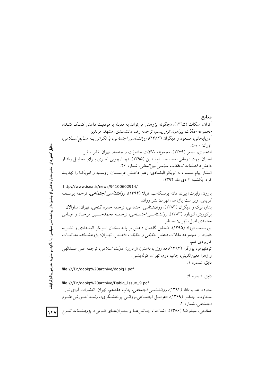منابع اّتران، اسکات (١٣٩۵)، «چگونه يژوهش مي تواند به مقابله با موفقيت داعش کمک کنـد»، *مجموعه مقالات پیرامون تروری*سم، ترجمه رضا دانشمندی، مشهد: مرندیز. آذربایجانی، مسعود و دیگران (۱۳۸۲)، *روانشناسی اجتماعی، با نگرش بـه منـابع اسـلامی*، تهران: سمت. افتخاری، اصغر (۱۳۷۹)، *مجموعه مقلات خشونت و جامعه*، تهران: نشر سفیر. امینیان، بهادر؛ زمانی، سید حسـامالـدین (۱۳۹۵)، «چـارچوبی نظـری بـرای تحلیـل رفتـار داعش»، فصلنامه تحققات سياسي بين المللي. شماره ٢۶. انتشار پیام منتسب به ابوبکر البغدادی؛ رهبر داعـش عربسـتان، روسـیه و اَمریکـا را تهدیــد کرد. پکشنبه ۶ دی ماه ۱۳۹۴: http://www.isna.ir/news/94100602914/ بارون، رابرت؛ بیرن، دان؛ برنسکامب، نایلا (۱۳۹۴)، *روانشناسی اجتماعی،* ترجمه یوسـف كريمي، ويراست يازدهم، تهران: نشر روان. بدار، لوک و دیگران (۱۳۸۳)، روانشناسی اجتماعی، ترجمه حمزه گنجی، تهران: ساوالان. بركوويتز، لئونارد (١٣٨٣)، رو*انشناسي اجتماعي،* ترجمه محمدحسين فرجاد و عباس محمدي اصل، تهران: اساطير. پورسعید، فرزاد (۱۳۹۵)، «تحلیل گفتمان داعش بر پایه سخنان ابـوبکر البغـدادی و نشــریه دابق»، از مجموعه مقالات *داعش حقیقی و حقیقت داعــش،* تهــران: پژوهشــکده مطالعــات كاربردي قلم. تودنهوفر، پورگن (۱۳۹۴)، *ده روز با داعش؛ از درون دولت اسلامی*، ترجمه علی عبــدالهی و زهرا معينالديني، چاپ دوم، تهران: كولهپشتي. دابق، شماره ۱: file:///D:/dabiq%20archive/dabiq1.pdf دابق، شماره ۹: file:///D:/dabiq%20archive/Dabiq\_Issue\_9.pdf ستوده، هدایتالله (۱۳۹۴)، *روانشناسی اجتماعی*، چاپ هفدهم، تهران: انتشارات آوای نور.

سخاوت، جعفـر (۱۳۶۹)، «عوامـل اجتمــاعی\_روانــی پرخاشــگری»، *رشــد آمـوزش علــوم* اجتم*اعی،* شماره ۴. .<br>صالحی، سیدرضا (۱۳۸۶)، «شناخت چـالش۱هـا و بحـران۱ـای قـومی»، *پژوهشـنامه تنـوع* <mark>۱۴۷</mark>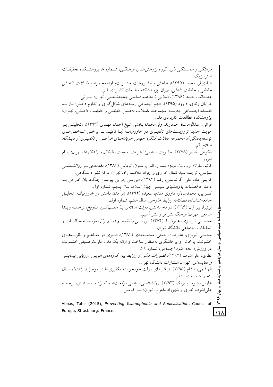Abbas, Tahir (2015), Preventing Islamophobia and Radicalisation, Council of Europe, Strasbourg: France.  $181$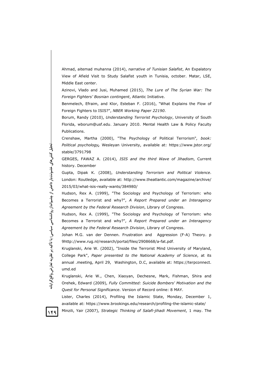Ahmad, aitemad muhanna (2014), *narrative of Tunisian Salafist*, An Expalatory View of Afield Visit to Study Salafist youth in Tunisia, october. Matar, LSE, Middle East center.

Azinovi, Vlado and Jusi, Muhamed (2015), *The Lure of The Syrian War: The Foreign Fighters' Bosnian contingent*, Atlantic Initiative.

Benmelech, Efraim, and Klor, Esteban F. (2016), "What Explains the Flow of Foreign Fighters to ISIS?", *NBER Working Paper 22190*.

Borum, Randy (2010), *Understanding Terrorist Psychology*, University of South Florida, wborum@usf.edu. January 2010. Mental Health Law & Policy Faculty Publications.

Crenshaw, Martha (2000), "The Psychology of Political Terrorism"*, book: Political psychology,* Wesleyan University, available at: https://www.jstor.org/ stable/3791798

GERGES, FAWAZ A. (2014), *ISIS and the third Wave of Jihadism*, Current history. December

Gupta, Dipak K. (2008), *Understanding Terrorism and Political Violence*. London: Routledge, available at: http://www.theatlantic.com/magazine/archive/ 2015/03/what-isis-really-wants/384980/

Hudson, Rex A. (1999), "The Sociology and Psychology of Terrorism: who Becomes a Terrorist and why?", *A Report Prepared under an Interagency Agreement by the Federal Research Division*, Library of Congress.

Hudson, Rex A. (1999), "The Sociology and Psychology of Terrorism: who Becomes a Terrorist and why?", *A Report Prepared under an Interagency Agreement by the Federal Research Division*, Library of Congress.

Johan M.G. van der Dennen. Frustration and Aggression (F-A) Theory. p 9http://www.rug.nl/research/portal/files/2908668/a-fat.pdf.

Kruglanski, Arie W. (2002), "Inside the Terrorist Mind University of Maryland, College Park", *Paper presented to the National Academy of Science*, at its annual .meeting, April 29, Washington, D.C, available at: https://terpconnect. umd.ed

Kruglanski, Arie W., Chen, Xiaoyan, Dechesne, Mark, Fishman, Shira and Orehek, Edward (2009), *Fully Committed: Suicide Bombers' Motivation and the Quest for Personal Significance*. Version of Record online: 8 MAY.

Lister, Charles (2014), Profiling the Islamic State, Monday, December 1, available at: https://www.brookings.edu/research/profiling-the-islamic-state/

 $149$ 

Minzili, Yair (2007), *Strategic Thinking of Salafi-jihadi Movement*, 1 may. The